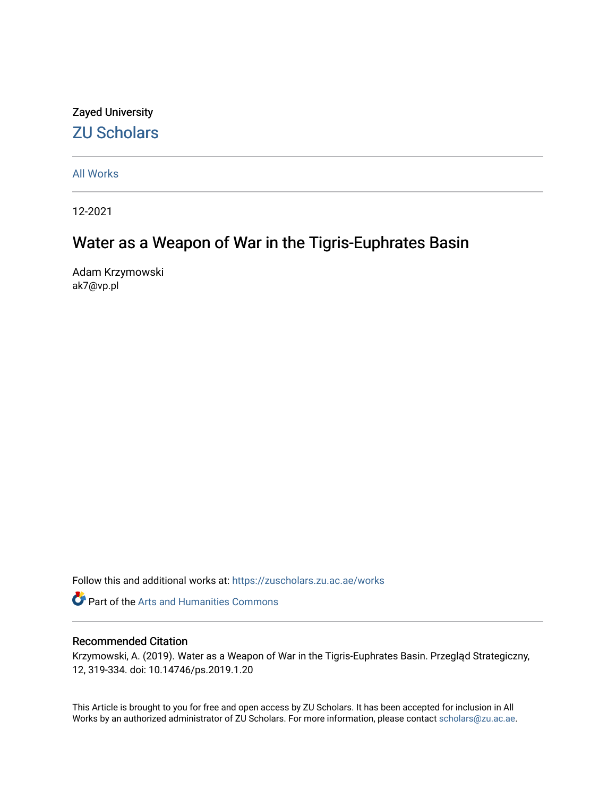### Zayed University [ZU Scholars](https://zuscholars.zu.ac.ae/)

[All Works](https://zuscholars.zu.ac.ae/works)

12-2021

# Water as a Weapon of War in the Tigris-Euphrates Basin

Adam Krzymowski ak7@vp.pl

Follow this and additional works at: [https://zuscholars.zu.ac.ae/works](https://zuscholars.zu.ac.ae/works?utm_source=zuscholars.zu.ac.ae%2Fworks%2F4874&utm_medium=PDF&utm_campaign=PDFCoverPages)

**Part of the Arts and Humanities Commons** 

#### Recommended Citation

Krzymowski, A. (2019). Water as a Weapon of War in the Tigris-Euphrates Basin. Przegląd Strategiczny, 12, 319-334. doi: 10.14746/ps.2019.1.20

This Article is brought to you for free and open access by ZU Scholars. It has been accepted for inclusion in All Works by an authorized administrator of ZU Scholars. For more information, please contact [scholars@zu.ac.ae](mailto:scholars@zu.ac.ae).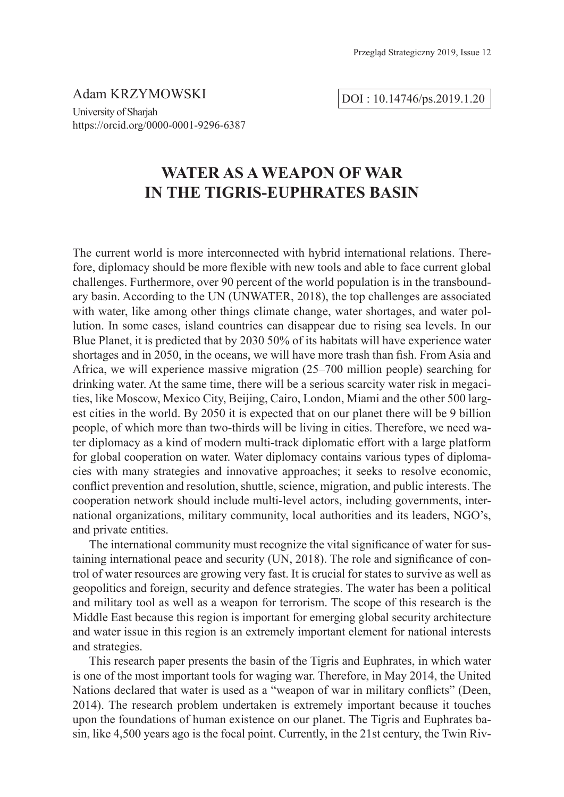Adam KRZYMOWSKI

DOI : 10.14746/ps.2019.1.20

University of Sharjah https://orcid.org/0000-0001-9296-6387

## **WATER AS A WEAPON OF WAR IN THE TIGRIS-EUPHRATES BASIN**

The current world is more interconnected with hybrid international relations. Therefore, diplomacy should be more fexible with new tools and able to face current global challenges. Furthermore, over 90 percent of the world population is in the transboundary basin. According to the UN (UNWATER, 2018), the top challenges are associated with water, like among other things climate change, water shortages, and water pollution. In some cases, island countries can disappear due to rising sea levels. In our Blue Planet, it is predicted that by 2030 50% of its habitats will have experience water shortages and in 2050, in the oceans, we will have more trash than fish. From Asia and Africa, we will experience massive migration (25–700 million people) searching for drinking water. At the same time, there will be a serious scarcity water risk in megacities, like Moscow, Mexico City, Beijing, Cairo, London, Miami and the other 500 largest cities in the world. By 2050 it is expected that on our planet there will be 9 billion people, of which more than two-thirds will be living in cities. Therefore, we need water diplomacy as a kind of modern multi-track diplomatic effort with a large platform for global cooperation on water. Water diplomacy contains various types of diplomacies with many strategies and innovative approaches; it seeks to resolve economic, confict prevention and resolution, shuttle, science, migration, and public interests. The cooperation network should include multi-level actors, including governments, international organizations, military community, local authorities and its leaders, NGO's, and private entities.

The international community must recognize the vital signifcance of water for sustaining international peace and security (UN, 2018). The role and signifcance of control of water resources are growing very fast. It is crucial for states to survive as well as geopolitics and foreign, security and defence strategies. The water has been a political and military tool as well as a weapon for terrorism. The scope of this research is the Middle East because this region is important for emerging global security architecture and water issue in this region is an extremely important element for national interests and strategies.

This research paper presents the basin of the Tigris and Euphrates, in which water is one of the most important tools for waging war. Therefore, in May 2014, the United Nations declared that water is used as a "weapon of war in military conficts" (Deen, 2014). The research problem undertaken is extremely important because it touches upon the foundations of human existence on our planet. The Tigris and Euphrates basin, like 4,500 years ago is the focal point. Currently, in the 21st century, the Twin Riv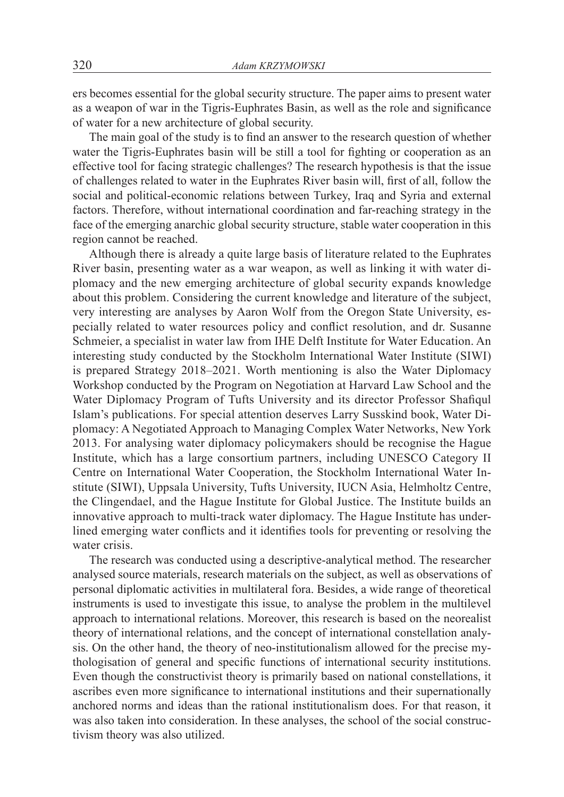ers becomes essential for the global security structure. The paper aims to present water as a weapon of war in the Tigris-Euphrates Basin, as well as the role and signifcance of water for a new architecture of global security.

The main goal of the study is to fnd an answer to the research question of whether water the Tigris-Euphrates basin will be still a tool for fighting or cooperation as an effective tool for facing strategic challenges? The research hypothesis is that the issue of challenges related to water in the Euphrates River basin will, frst of all, follow the social and political-economic relations between Turkey, Iraq and Syria and external factors. Therefore, without international coordination and far-reaching strategy in the face of the emerging anarchic global security structure, stable water cooperation in this region cannot be reached.

Although there is already a quite large basis of literature related to the Euphrates River basin, presenting water as a war weapon, as well as linking it with water diplomacy and the new emerging architecture of global security expands knowledge about this problem. Considering the current knowledge and literature of the subject, very interesting are analyses by Aaron Wolf from the Oregon State University, especially related to water resources policy and confict resolution, and dr. Susanne Schmeier, a specialist in water law from IHE Delft Institute for Water Education. An interesting study conducted by the Stockholm International Water Institute (SIWI) is prepared Strategy 2018–2021. Worth mentioning is also the Water Diplomacy Workshop conducted by the Program on Negotiation at Harvard Law School and the Water Diplomacy Program of Tufts University and its director Professor Shafqul Islam's publications. For special attention deserves Larry Susskind book, Water Diplomacy: A Negotiated Approach to Managing Complex Water Networks, New York 2013. For analysing water diplomacy policymakers should be recognise the Hague Institute, which has a large consortium partners, including UNESCO Category II Centre on International Water Cooperation, the Stockholm International Water Institute (SIWI), Uppsala University, Tufts University, IUCN Asia, Helmholtz Centre, the Clingendael, and the Hague Institute for Global Justice. The Institute builds an innovative approach to multi-track water diplomacy. The Hague Institute has underlined emerging water conficts and it identifes tools for preventing or resolving the water crisis.

The research was conducted using a descriptive-analytical method. The researcher analysed source materials, research materials on the subject, as well as observations of personal diplomatic activities in multilateral fora. Besides, a wide range of theoretical instruments is used to investigate this issue, to analyse the problem in the multilevel approach to international relations. Moreover, this research is based on the neorealist theory of international relations, and the concept of international constellation analysis. On the other hand, the theory of neo-institutionalism allowed for the precise mythologisation of general and specifc functions of international security institutions. Even though the constructivist theory is primarily based on national constellations, it ascribes even more signifcance to international institutions and their supernationally anchored norms and ideas than the rational institutionalism does. For that reason, it was also taken into consideration. In these analyses, the school of the social constructivism theory was also utilized.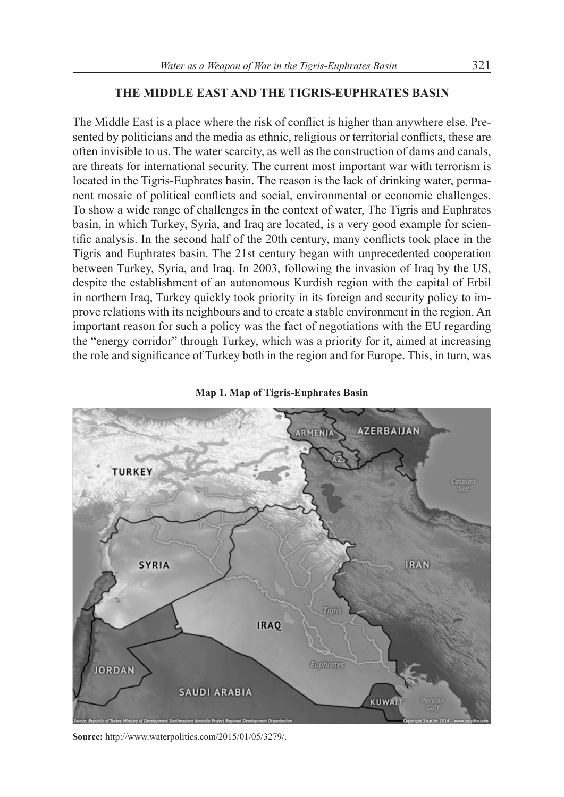### **THE MIDDLE EAST AND THE TIGRIS-EUPHRATES BASIN**

The Middle East is a place where the risk of confict is higher than anywhere else. Presented by politicians and the media as ethnic, religious or territorial conficts, these are often invisible to us. The water scarcity, as well as the construction of dams and canals, are threats for international security. The current most important war with terrorism is located in the Tigris-Euphrates basin. The reason is the lack of drinking water, permanent mosaic of political conficts and social, environmental or economic challenges. To show a wide range of challenges in the context of water, The Tigris and Euphrates basin, in which Turkey, Syria, and Iraq are located, is a very good example for scientifc analysis. In the second half of the 20th century, many conficts took place in the Tigris and Euphrates basin. The 21st century began with unprecedented cooperation between Turkey, Syria, and Iraq. In 2003, following the invasion of Iraq by the US, despite the establishment of an autonomous Kurdish region with the capital of Erbil in northern Iraq, Turkey quickly took priority in its foreign and security policy to improve relations with its neighbours and to create a stable environment in the region. An important reason for such a policy was the fact of negotiations with the EU regarding the "energy corridor" through Turkey, which was a priority for it, aimed at increasing the role and signifcance of Turkey both in the region and for Europe. This, in turn, was



**Map 1. Map of Tigris-Euphrates Basin**

**Source:** http://www.waterpolitics.com/2015/01/05/3279/.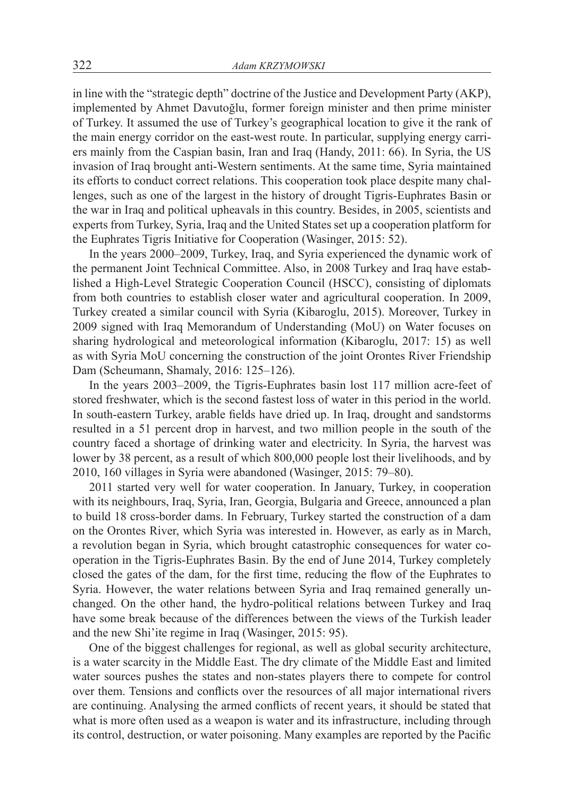in line with the "strategic depth" doctrine of the Justice and Development Party (AKP), implemented by Ahmet Davutoğlu, former foreign minister and then prime minister of Turkey. It assumed the use of Turkey's geographical location to give it the rank of the main energy corridor on the east-west route. In particular, supplying energy carriers mainly from the Caspian basin, Iran and Iraq (Handy, 2011: 66). In Syria, the US invasion of Iraq brought anti-Western sentiments. At the same time, Syria maintained its efforts to conduct correct relations. This cooperation took place despite many challenges, such as one of the largest in the history of drought Tigris-Euphrates Basin or the war in Iraq and political upheavals in this country. Besides, in 2005, scientists and experts from Turkey, Syria, Iraq and the United States set up a cooperation platform for the Euphrates Tigris Initiative for Cooperation (Wasinger, 2015: 52).

In the years 2000–2009, Turkey, Iraq, and Syria experienced the dynamic work of the permanent Joint Technical Committee. Also, in 2008 Turkey and Iraq have established a High-Level Strategic Cooperation Council (HSCC), consisting of diplomats from both countries to establish closer water and agricultural cooperation. In 2009, Turkey created a similar council with Syria (Kibaroglu, 2015). Moreover, Turkey in 2009 signed with Iraq Memorandum of Understanding (MoU) on Water focuses on sharing hydrological and meteorological information (Kibaroglu, 2017: 15) as well as with Syria MoU concerning the construction of the joint Orontes River Friendship Dam (Scheumann, Shamaly, 2016: 125–126).

In the years 2003–2009, the Tigris-Euphrates basin lost 117 million acre-feet of stored freshwater, which is the second fastest loss of water in this period in the world. In south-eastern Turkey, arable felds have dried up. In Iraq, drought and sandstorms resulted in a 51 percent drop in harvest, and two million people in the south of the country faced a shortage of drinking water and electricity. In Syria, the harvest was lower by 38 percent, as a result of which 800,000 people lost their livelihoods, and by 2010, 160 villages in Syria were abandoned (Wasinger, 2015: 79–80).

2011 started very well for water cooperation. In January, Turkey, in cooperation with its neighbours, Iraq, Syria, Iran, Georgia, Bulgaria and Greece, announced a plan to build 18 cross-border dams. In February, Turkey started the construction of a dam on the Orontes River, which Syria was interested in. However, as early as in March, a revolution began in Syria, which brought catastrophic consequences for water cooperation in the Tigris-Euphrates Basin. By the end of June 2014, Turkey completely closed the gates of the dam, for the frst time, reducing the fow of the Euphrates to Syria. However, the water relations between Syria and Iraq remained generally unchanged. On the other hand, the hydro-political relations between Turkey and Iraq have some break because of the differences between the views of the Turkish leader and the new Shi'ite regime in Iraq (Wasinger, 2015: 95).

One of the biggest challenges for regional, as well as global security architecture, is a water scarcity in the Middle East. The dry climate of the Middle East and limited water sources pushes the states and non-states players there to compete for control over them. Tensions and conficts over the resources of all major international rivers are continuing. Analysing the armed conficts of recent years, it should be stated that what is more often used as a weapon is water and its infrastructure, including through its control, destruction, or water poisoning. Many examples are reported by the Pacifc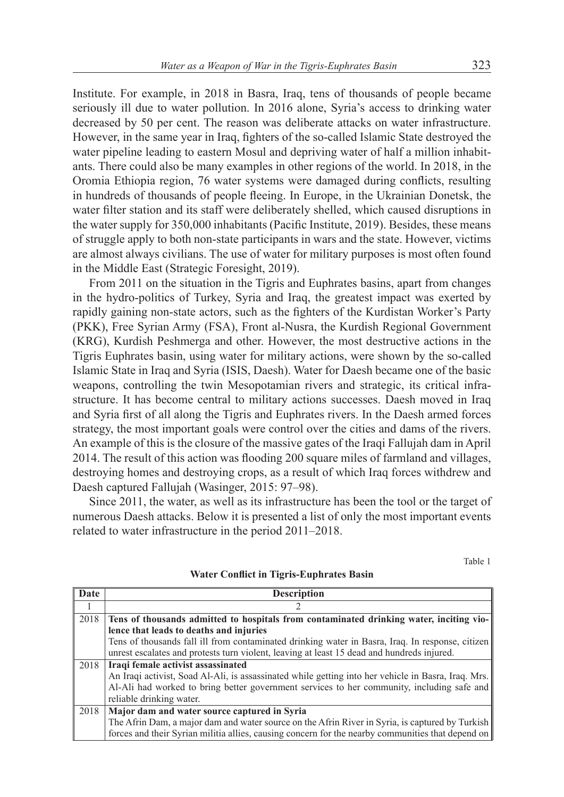Institute. For example, in 2018 in Basra, Iraq, tens of thousands of people became seriously ill due to water pollution. In 2016 alone, Syria's access to drinking water decreased by 50 per cent. The reason was deliberate attacks on water infrastructure. However, in the same year in Iraq, fghters of the so-called Islamic State destroyed the water pipeline leading to eastern Mosul and depriving water of half a million inhabitants. There could also be many examples in other regions of the world. In 2018, in the Oromia Ethiopia region, 76 water systems were damaged during conficts, resulting in hundreds of thousands of people feeing. In Europe, in the Ukrainian Donetsk, the water flter station and its staff were deliberately shelled, which caused disruptions in the water supply for 350,000 inhabitants (Pacifc Institute, 2019). Besides, these means of struggle apply to both non-state participants in wars and the state. However, victims are almost always civilians. The use of water for military purposes is most often found in the Middle East (Strategic Foresight, 2019).

From 2011 on the situation in the Tigris and Euphrates basins, apart from changes in the hydro-politics of Turkey, Syria and Iraq, the greatest impact was exerted by rapidly gaining non-state actors, such as the fghters of the Kurdistan Worker's Party (PKK), Free Syrian Army (FSA), Front al-Nusra, the Kurdish Regional Government (KRG), Kurdish Peshmerga and other. However, the most destructive actions in the Tigris Euphrates basin, using water for military actions, were shown by the so-called Islamic State in Iraq and Syria (ISIS, Daesh). Water for Daesh became one of the basic weapons, controlling the twin Mesopotamian rivers and strategic, its critical infrastructure. It has become central to military actions successes. Daesh moved in Iraq and Syria frst of all along the Tigris and Euphrates rivers. In the Daesh armed forces strategy, the most important goals were control over the cities and dams of the rivers. An example of this is the closure of the massive gates of the Iraqi Fallujah dam in April 2014. The result of this action was fooding 200 square miles of farmland and villages, destroying homes and destroying crops, as a result of which Iraq forces withdrew and Daesh captured Fallujah (Wasinger, 2015: 97–98).

Since 2011, the water, as well as its infrastructure has been the tool or the target of numerous Daesh attacks. Below it is presented a list of only the most important events related to water infrastructure in the period 2011–2018.

Table 1

| Date | <b>Description</b>                                                                                  |
|------|-----------------------------------------------------------------------------------------------------|
|      |                                                                                                     |
| 2018 | Tens of thousands admitted to hospitals from contaminated drinking water, inciting vio-             |
|      | lence that leads to deaths and injuries                                                             |
|      | Tens of thousands fall ill from contaminated drinking water in Basra, Iraq. In response, citizen    |
|      | unrest escalates and protests turn violent, leaving at least 15 dead and hundreds injured.          |
| 2018 | Iraqi female activist assassinated                                                                  |
|      | An Iraqi activist, Soad Al-Ali, is assassinated while getting into her vehicle in Basra, Iraq. Mrs. |
|      | Al-Ali had worked to bring better government services to her community, including safe and          |
|      | reliable drinking water.                                                                            |
| 2018 | Major dam and water source captured in Syria                                                        |
|      | The Afrin Dam, a major dam and water source on the Afrin River in Syria, is captured by Turkish     |
|      | forces and their Syrian militia allies, causing concern for the nearby communities that depend on   |

**Water Confict in Tigris-Euphrates Basin**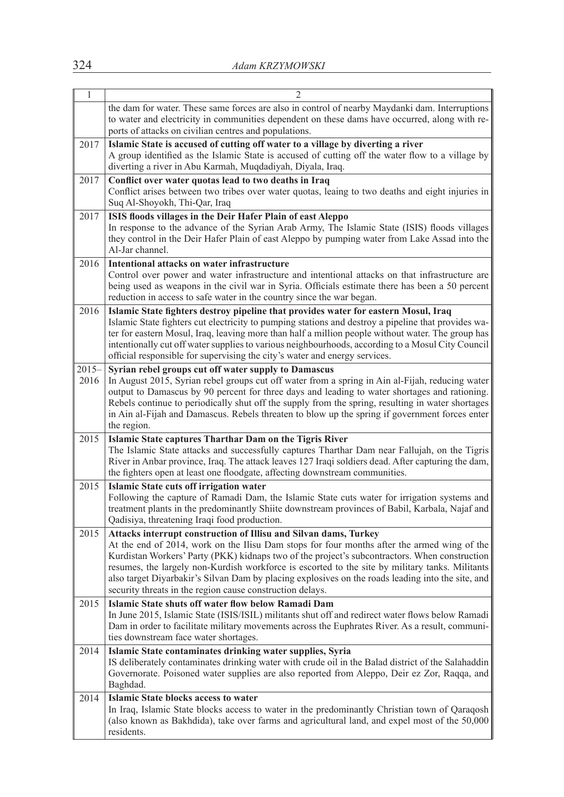| $\mathbf{1}$     | $\overline{2}$                                                                                                                                                                                                                                                                                                                                                                                                                                                                                                                        |
|------------------|---------------------------------------------------------------------------------------------------------------------------------------------------------------------------------------------------------------------------------------------------------------------------------------------------------------------------------------------------------------------------------------------------------------------------------------------------------------------------------------------------------------------------------------|
|                  | the dam for water. These same forces are also in control of nearby Maydanki dam. Interruptions<br>to water and electricity in communities dependent on these dams have occurred, along with re-<br>ports of attacks on civilian centres and populations.                                                                                                                                                                                                                                                                              |
| 2017             | Islamic State is accused of cutting off water to a village by diverting a river<br>A group identified as the Islamic State is accused of cutting off the water flow to a village by<br>diverting a river in Abu Karmah, Muqdadiyah, Diyala, Iraq.                                                                                                                                                                                                                                                                                     |
| 2017             | Conflict over water quotas lead to two deaths in Iraq<br>Conflict arises between two tribes over water quotas, leaing to two deaths and eight injuries in<br>Suq Al-Shoyokh, Thi-Qar, Iraq                                                                                                                                                                                                                                                                                                                                            |
| 2017             | ISIS floods villages in the Deir Hafer Plain of east Aleppo<br>In response to the advance of the Syrian Arab Army, The Islamic State (ISIS) floods villages<br>they control in the Deir Hafer Plain of east Aleppo by pumping water from Lake Assad into the<br>Al-Jar channel.                                                                                                                                                                                                                                                       |
| 2016             | Intentional attacks on water infrastructure<br>Control over power and water infrastructure and intentional attacks on that infrastructure are<br>being used as weapons in the civil war in Syria. Officials estimate there has been a 50 percent<br>reduction in access to safe water in the country since the war began.                                                                                                                                                                                                             |
| 2016             | Islamic State fighters destroy pipeline that provides water for eastern Mosul, Iraq<br>Islamic State fighters cut electricity to pumping stations and destroy a pipeline that provides wa-<br>ter for eastern Mosul, Iraq, leaving more than half a million people without water. The group has<br>intentionally cut off water supplies to various neighbourhoods, according to a Mosul City Council<br>official responsible for supervising the city's water and energy services.                                                    |
| $2015 -$<br>2016 | Syrian rebel groups cut off water supply to Damascus<br>In August 2015, Syrian rebel groups cut off water from a spring in Ain al-Fijah, reducing water<br>output to Damascus by 90 percent for three days and leading to water shortages and rationing.<br>Rebels continue to periodically shut off the supply from the spring, resulting in water shortages<br>in Ain al-Fijah and Damascus. Rebels threaten to blow up the spring if government forces enter<br>the region.                                                        |
| 2015             | Islamic State captures Tharthar Dam on the Tigris River<br>The Islamic State attacks and successfully captures Tharthar Dam near Fallujah, on the Tigris<br>River in Anbar province, Iraq. The attack leaves 127 Iraqi soldiers dead. After capturing the dam,<br>the fighters open at least one floodgate, affecting downstream communities.                                                                                                                                                                                         |
| 2015             | Islamic State cuts off irrigation water<br>Following the capture of Ramadi Dam, the Islamic State cuts water for irrigation systems and<br>treatment plants in the predominantly Shiite downstream provinces of Babil, Karbala, Najaf and<br>Qadisiya, threatening Iraqi food production.                                                                                                                                                                                                                                             |
| 2015             | Attacks interrupt construction of Illisu and Silvan dams, Turkey<br>At the end of 2014, work on the Ilisu Dam stops for four months after the armed wing of the<br>Kurdistan Workers' Party (PKK) kidnaps two of the project's subcontractors. When construction<br>resumes, the largely non-Kurdish workforce is escorted to the site by military tanks. Militants<br>also target Diyarbakir's Silvan Dam by placing explosives on the roads leading into the site, and<br>security threats in the region cause construction delays. |
| 2015             | Islamic State shuts off water flow below Ramadi Dam<br>In June 2015, Islamic State (ISIS/ISIL) militants shut off and redirect water flows below Ramadi<br>Dam in order to facilitate military movements across the Euphrates River. As a result, communi-<br>ties downstream face water shortages.                                                                                                                                                                                                                                   |
| 2014             | Islamic State contaminates drinking water supplies, Syria<br>IS deliberately contaminates drinking water with crude oil in the Balad district of the Salahaddin<br>Governorate. Poisoned water supplies are also reported from Aleppo, Deir ez Zor, Raqqa, and<br>Baghdad.                                                                                                                                                                                                                                                            |
| 2014             | Islamic State blocks access to water<br>In Iraq, Islamic State blocks access to water in the predominantly Christian town of Qaraqosh<br>(also known as Bakhdida), take over farms and agricultural land, and expel most of the 50,000<br>residents.                                                                                                                                                                                                                                                                                  |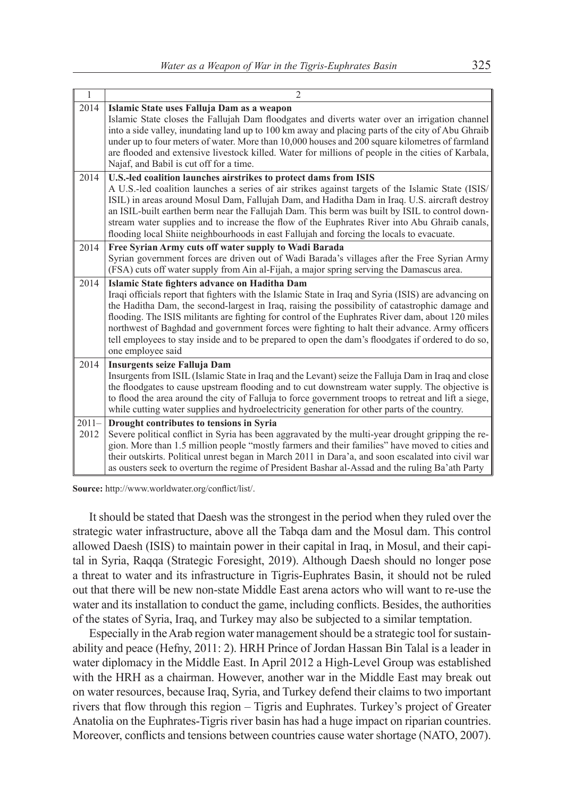| $\mathbf{1}$     | $\overline{2}$                                                                                                                                                                                                                                                                                                                                                                                                                                                                                                                                                                             |
|------------------|--------------------------------------------------------------------------------------------------------------------------------------------------------------------------------------------------------------------------------------------------------------------------------------------------------------------------------------------------------------------------------------------------------------------------------------------------------------------------------------------------------------------------------------------------------------------------------------------|
| 2014             | Islamic State uses Falluja Dam as a weapon<br>Islamic State closes the Fallujah Dam floodgates and diverts water over an irrigation channel<br>into a side valley, inundating land up to 100 km away and placing parts of the city of Abu Ghraib<br>under up to four meters of water. More than 10,000 houses and 200 square kilometres of farmland<br>are flooded and extensive livestock killed. Water for millions of people in the cities of Karbala,<br>Najaf, and Babil is cut off for a time.                                                                                       |
| 2014             | U.S.-led coalition launches airstrikes to protect dams from ISIS<br>A U.S.-led coalition launches a series of air strikes against targets of the Islamic State (ISIS/<br>ISIL) in areas around Mosul Dam, Fallujah Dam, and Haditha Dam in Iraq. U.S. aircraft destroy<br>an ISIL-built earthen berm near the Fallujah Dam. This berm was built by ISIL to control down-<br>stream water supplies and to increase the flow of the Euphrates River into Abu Ghraib canals,<br>flooding local Shiite neighbourhoods in east Fallujah and forcing the locals to evacuate.                     |
| 2014             | Free Syrian Army cuts off water supply to Wadi Barada<br>Syrian government forces are driven out of Wadi Barada's villages after the Free Syrian Army<br>(FSA) cuts off water supply from Ain al-Fijah, a major spring serving the Damascus area.                                                                                                                                                                                                                                                                                                                                          |
| 2014             | Islamic State fighters advance on Haditha Dam<br>Iraqi officials report that fighters with the Islamic State in Iraq and Syria (ISIS) are advancing on<br>the Haditha Dam, the second-largest in Iraq, raising the possibility of catastrophic damage and<br>flooding. The ISIS militants are fighting for control of the Euphrates River dam, about 120 miles<br>northwest of Baghdad and government forces were fighting to halt their advance. Army officers<br>tell employees to stay inside and to be prepared to open the dam's floodgates if ordered to do so,<br>one employee said |
| 2014             | Insurgents seize Falluja Dam<br>Insurgents from ISIL (Islamic State in Iraq and the Levant) seize the Falluja Dam in Iraq and close<br>the floodgates to cause upstream flooding and to cut downstream water supply. The objective is<br>to flood the area around the city of Falluja to force government troops to retreat and lift a siege,<br>while cutting water supplies and hydroelectricity generation for other parts of the country.                                                                                                                                              |
| $2011 -$<br>2012 | Drought contributes to tensions in Syria<br>Severe political conflict in Syria has been aggravated by the multi-year drought gripping the re-<br>gion. More than 1.5 million people "mostly farmers and their families" have moved to cities and<br>their outskirts. Political unrest began in March 2011 in Dara'a, and soon escalated into civil war<br>as ousters seek to overturn the regime of President Bashar al-Assad and the ruling Ba'ath Party                                                                                                                                  |

**Source:** http://www.worldwater.org/confict/list/.

It should be stated that Daesh was the strongest in the period when they ruled over the strategic water infrastructure, above all the Tabqa dam and the Mosul dam. This control allowed Daesh (ISIS) to maintain power in their capital in Iraq, in Mosul, and their capital in Syria, Raqqa (Strategic Foresight, 2019). Although Daesh should no longer pose a threat to water and its infrastructure in Tigris-Euphrates Basin, it should not be ruled out that there will be new non-state Middle East arena actors who will want to re-use the water and its installation to conduct the game, including conficts. Besides, the authorities of the states of Syria, Iraq, and Turkey may also be subjected to a similar temptation.

Especially in the Arab region water management should be a strategic tool for sustainability and peace (Hefny, 2011: 2). HRH Prince of Jordan Hassan Bin Talal is a leader in water diplomacy in the Middle East. In April 2012 a High-Level Group was established with the HRH as a chairman. However, another war in the Middle East may break out on water resources, because Iraq, Syria, and Turkey defend their claims to two important rivers that fow through this region – Tigris and Euphrates. Turkey's project of Greater Anatolia on the Euphrates-Tigris river basin has had a huge impact on riparian countries. Moreover, conficts and tensions between countries cause water shortage (NATO, 2007).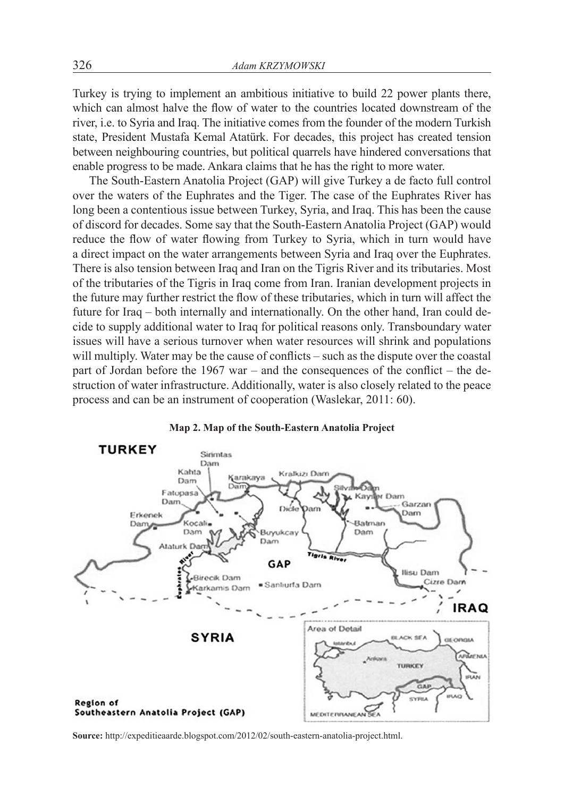Turkey is trying to implement an ambitious initiative to build 22 power plants there, which can almost halve the flow of water to the countries located downstream of the river, i.e. to Syria and Iraq. The initiative comes from the founder of the modern Turkish state, President Mustafa Kemal Atatürk. For decades, this project has created tension between neighbouring countries, but political quarrels have hindered conversations that enable progress to be made. Ankara claims that he has the right to more water.

The South-Eastern Anatolia Project (GAP) will give Turkey a de facto full control over the waters of the Euphrates and the Tiger. The case of the Euphrates River has long been a contentious issue between Turkey, Syria, and Iraq. This has been the cause of discord for decades. Some say that the South-Eastern Anatolia Project (GAP) would reduce the flow of water flowing from Turkey to Syria, which in turn would have a direct impact on the water arrangements between Syria and Iraq over the Euphrates. There is also tension between Iraq and Iran on the Tigris River and its tributaries. Most of the tributaries of the Tigris in Iraq come from Iran. Iranian development projects in the future may further restrict the fow of these tributaries, which in turn will affect the future for Iraq – both internally and internationally. On the other hand, Iran could decide to supply additional water to Iraq for political reasons only. Transboundary water issues will have a serious turnover when water resources will shrink and populations will multiply. Water may be the cause of conflicts – such as the dispute over the coastal part of Jordan before the 1967 war – and the consequences of the confict – the destruction of water infrastructure. Additionally, water is also closely related to the peace process and can be an instrument of cooperation (Waslekar, 2011: 60).



#### **Map 2. Map of the South-Eastern Anatolia Project**

**Source:** http://expeditieaarde.blogspot.com/2012/02/south-eastern-anatolia-project.html.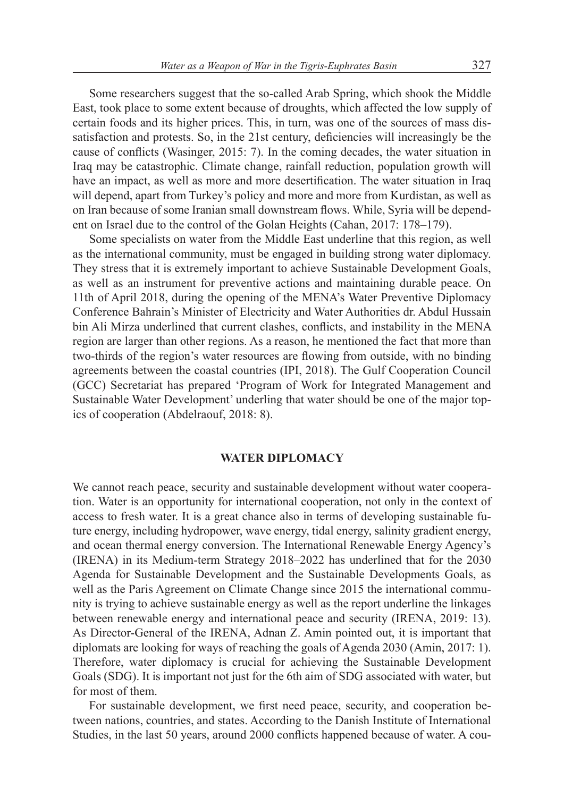Some researchers suggest that the so-called Arab Spring, which shook the Middle East, took place to some extent because of droughts, which affected the low supply of certain foods and its higher prices. This, in turn, was one of the sources of mass dissatisfaction and protests. So, in the 21st century, defciencies will increasingly be the cause of conficts (Wasinger, 2015: 7). In the coming decades, the water situation in Iraq may be catastrophic. Climate change, rainfall reduction, population growth will have an impact, as well as more and more desertifcation. The water situation in Iraq will depend, apart from Turkey's policy and more and more from Kurdistan, as well as on Iran because of some Iranian small downstream fows. While, Syria will be dependent on Israel due to the control of the Golan Heights (Cahan, 2017: 178–179).

Some specialists on water from the Middle East underline that this region, as well as the international community, must be engaged in building strong water diplomacy. They stress that it is extremely important to achieve Sustainable Development Goals, as well as an instrument for preventive actions and maintaining durable peace. On 11th of April 2018, during the opening of the MENA's Water Preventive Diplomacy Conference Bahrain's Minister of Electricity and Water Authorities dr. Abdul Hussain bin Ali Mirza underlined that current clashes, conficts, and instability in the MENA region are larger than other regions. As a reason, he mentioned the fact that more than two-thirds of the region's water resources are fowing from outside, with no binding agreements between the coastal countries (IPI, 2018). The Gulf Cooperation Council (GCC) Secretariat has prepared 'Program of Work for Integrated Management and Sustainable Water Development' underling that water should be one of the major topics of cooperation (Abdelraouf, 2018: 8).

#### **WATER DIPLOMACY**

We cannot reach peace, security and sustainable development without water cooperation. Water is an opportunity for international cooperation, not only in the context of access to fresh water. It is a great chance also in terms of developing sustainable future energy, including hydropower, wave energy, tidal energy, salinity gradient energy, and ocean thermal energy conversion. The International Renewable Energy Agency's (IRENA) in its Medium-term Strategy 2018–2022 has underlined that for the 2030 Agenda for Sustainable Development and the Sustainable Developments Goals, as well as the Paris Agreement on Climate Change since 2015 the international community is trying to achieve sustainable energy as well as the report underline the linkages between renewable energy and international peace and security (IRENA, 2019: 13). As Director-General of the IRENA, Adnan Z. Amin pointed out, it is important that diplomats are looking for ways of reaching the goals of Agenda 2030 (Amin, 2017: 1). Therefore, water diplomacy is crucial for achieving the Sustainable Development Goals (SDG). It is important not just for the 6th aim of SDG associated with water, but for most of them.

For sustainable development, we frst need peace, security, and cooperation between nations, countries, and states. According to the Danish Institute of International Studies, in the last 50 years, around 2000 conficts happened because of water. A cou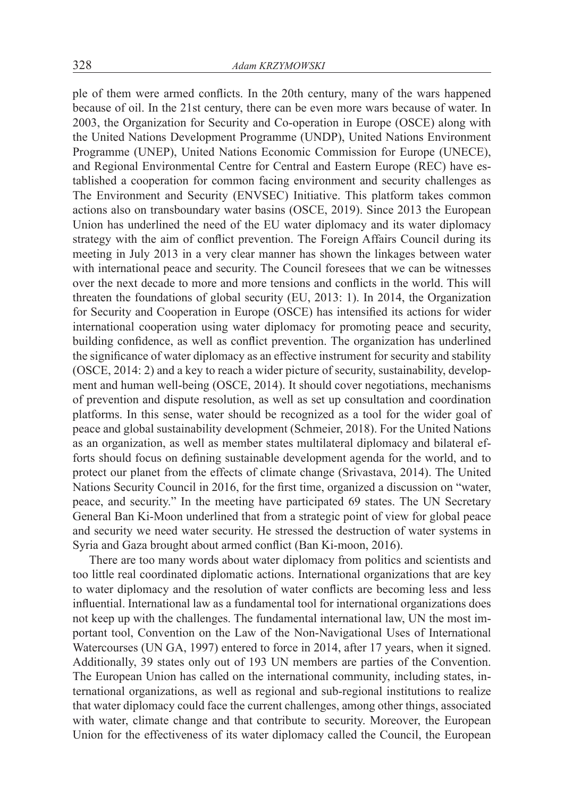ple of them were armed conficts. In the 20th century, many of the wars happened because of oil. In the 21st century, there can be even more wars because of water. In 2003, the Organization for Security and Co-operation in Europe (OSCE) along with the United Nations Development Programme (UNDP), United Nations Environment Programme (UNEP), United Nations Economic Commission for Europe (UNECE), and Regional Environmental Centre for Central and Eastern Europe (REC) have established a cooperation for common facing environment and security challenges as The Environment and Security (ENVSEC) Initiative. This platform takes common actions also on transboundary water basins (OSCE, 2019). Since 2013 the European Union has underlined the need of the EU water diplomacy and its water diplomacy strategy with the aim of confict prevention. The Foreign Affairs Council during its meeting in July 2013 in a very clear manner has shown the linkages between water with international peace and security. The Council foresees that we can be witnesses over the next decade to more and more tensions and conficts in the world. This will threaten the foundations of global security (EU, 2013: 1). In 2014, the Organization for Security and Cooperation in Europe (OSCE) has intensifed its actions for wider international cooperation using water diplomacy for promoting peace and security, building confdence, as well as confict prevention. The organization has underlined the signifcance of water diplomacy as an effective instrument for security and stability (OSCE, 2014: 2) and a key to reach a wider picture of security, sustainability, development and human well-being (OSCE, 2014). It should cover negotiations, mechanisms of prevention and dispute resolution, as well as set up consultation and coordination platforms. In this sense, water should be recognized as a tool for the wider goal of peace and global sustainability development (Schmeier, 2018). For the United Nations as an organization, as well as member states multilateral diplomacy and bilateral efforts should focus on defning sustainable development agenda for the world, and to protect our planet from the effects of climate change (Srivastava, 2014). The United Nations Security Council in 2016, for the frst time, organized a discussion on "water, peace, and security." In the meeting have participated 69 states. The UN Secretary General Ban Ki-Moon underlined that from a strategic point of view for global peace and security we need water security. He stressed the destruction of water systems in Syria and Gaza brought about armed confict (Ban Ki-moon, 2016).

There are too many words about water diplomacy from politics and scientists and too little real coordinated diplomatic actions. International organizations that are key to water diplomacy and the resolution of water conficts are becoming less and less infuential. International law as a fundamental tool for international organizations does not keep up with the challenges. The fundamental international law, UN the most important tool, Convention on the Law of the Non-Navigational Uses of International Watercourses (UN GA, 1997) entered to force in 2014, after 17 years, when it signed. Additionally, 39 states only out of 193 UN members are parties of the Convention. The European Union has called on the international community, including states, international organizations, as well as regional and sub-regional institutions to realize that water diplomacy could face the current challenges, among other things, associated with water, climate change and that contribute to security. Moreover, the European Union for the effectiveness of its water diplomacy called the Council, the European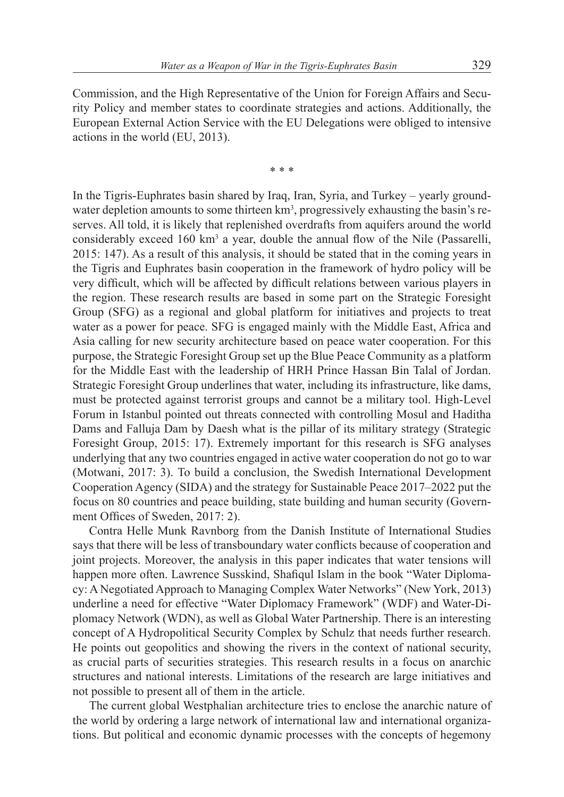Commission, and the High Representative of the Union for Foreign Affairs and Security Policy and member states to coordinate strategies and actions. Additionally, the European External Action Service with the EU Delegations were obliged to intensive actions in the world (EU, 2013).

\* \* \*

In the Tigris-Euphrates basin shared by Iraq, Iran, Syria, and Turkey – yearly groundwater depletion amounts to some thirteen km<sup>3</sup>, progressively exhausting the basin's reserves. All told, it is likely that replenished overdrafts from aquifers around the world considerably exceed 160 km<sup>3</sup> a year, double the annual flow of the Nile (Passarelli, 2015: 147). As a result of this analysis, it should be stated that in the coming years in the Tigris and Euphrates basin cooperation in the framework of hydro policy will be very diffcult, which will be affected by diffcult relations between various players in the region. These research results are based in some part on the Strategic Foresight Group (SFG) as a regional and global platform for initiatives and projects to treat water as a power for peace. SFG is engaged mainly with the Middle East, Africa and Asia calling for new security architecture based on peace water cooperation. For this purpose, the Strategic Foresight Group set up the Blue Peace Community as a platform for the Middle East with the leadership of HRH Prince Hassan Bin Talal of Jordan. Strategic Foresight Group underlines that water, including its infrastructure, like dams, must be protected against terrorist groups and cannot be a military tool. High-Level Forum in Istanbul pointed out threats connected with controlling Mosul and Haditha Dams and Falluja Dam by Daesh what is the pillar of its military strategy (Strategic Foresight Group, 2015: 17). Extremely important for this research is SFG analyses underlying that any two countries engaged in active water cooperation do not go to war (Motwani, 2017: 3). To build a conclusion, the Swedish International Development Cooperation Agency (SIDA) and the strategy for Sustainable Peace 2017–2022 put the focus on 80 countries and peace building, state building and human security (Government Offices of Sweden, 2017: 2).

Contra Helle Munk Ravnborg from the Danish Institute of International Studies says that there will be less of transboundary water conficts because of cooperation and joint projects. Moreover, the analysis in this paper indicates that water tensions will happen more often. Lawrence Susskind, Shafiqul Islam in the book "Water Diplomacy: A Negotiated Approach to Managing Complex Water Networks" (New York, 2013) underline a need for effective "Water Diplomacy Framework" (WDF) and Water-Diplomacy Network (WDN), as well as Global Water Partnership. There is an interesting concept of A Hydropolitical Security Complex by Schulz that needs further research. He points out geopolitics and showing the rivers in the context of national security, as crucial parts of securities strategies. This research results in a focus on anarchic structures and national interests. Limitations of the research are large initiatives and not possible to present all of them in the article.

The current global Westphalian architecture tries to enclose the anarchic nature of the world by ordering a large network of international law and international organizations. But political and economic dynamic processes with the concepts of hegemony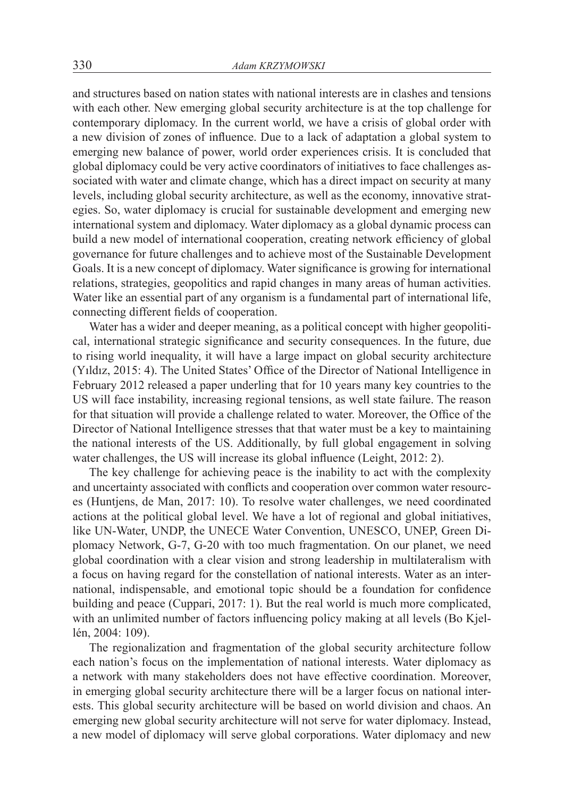and structures based on nation states with national interests are in clashes and tensions with each other. New emerging global security architecture is at the top challenge for contemporary diplomacy. In the current world, we have a crisis of global order with a new division of zones of infuence. Due to a lack of adaptation a global system to emerging new balance of power, world order experiences crisis. It is concluded that global diplomacy could be very active coordinators of initiatives to face challenges associated with water and climate change, which has a direct impact on security at many levels, including global security architecture, as well as the economy, innovative strategies. So, water diplomacy is crucial for sustainable development and emerging new international system and diplomacy. Water diplomacy as a global dynamic process can build a new model of international cooperation, creating network efficiency of global governance for future challenges and to achieve most of the Sustainable Development Goals. It is a new concept of diplomacy. Water signifcance is growing for international relations, strategies, geopolitics and rapid changes in many areas of human activities. Water like an essential part of any organism is a fundamental part of international life, connecting different felds of cooperation.

Water has a wider and deeper meaning, as a political concept with higher geopolitical, international strategic signifcance and security consequences. In the future, due to rising world inequality, it will have a large impact on global security architecture (Yıldız, 2015: 4). The United States' Office of the Director of National Intelligence in February 2012 released a paper underling that for 10 years many key countries to the US will face instability, increasing regional tensions, as well state failure. The reason for that situation will provide a challenge related to water. Moreover, the Office of the Director of National Intelligence stresses that that water must be a key to maintaining the national interests of the US. Additionally, by full global engagement in solving water challenges, the US will increase its global infuence (Leight, 2012: 2).

The key challenge for achieving peace is the inability to act with the complexity and uncertainty associated with conficts and cooperation over common water resources (Huntjens, de Man, 2017: 10). To resolve water challenges, we need coordinated actions at the political global level. We have a lot of regional and global initiatives, like UN-Water, UNDP, the UNECE Water Convention, UNESCO, UNEP, Green Diplomacy Network, G-7, G-20 with too much fragmentation. On our planet, we need global coordination with a clear vision and strong leadership in multilateralism with a focus on having regard for the constellation of national interests. Water as an international, indispensable, and emotional topic should be a foundation for confdence building and peace (Cuppari, 2017: 1). But the real world is much more complicated, with an unlimited number of factors infuencing policy making at all levels (Bo Kjellén, 2004: 109).

The regionalization and fragmentation of the global security architecture follow each nation's focus on the implementation of national interests. Water diplomacy as a network with many stakeholders does not have effective coordination. Moreover, in emerging global security architecture there will be a larger focus on national interests. This global security architecture will be based on world division and chaos. An emerging new global security architecture will not serve for water diplomacy. Instead, a new model of diplomacy will serve global corporations. Water diplomacy and new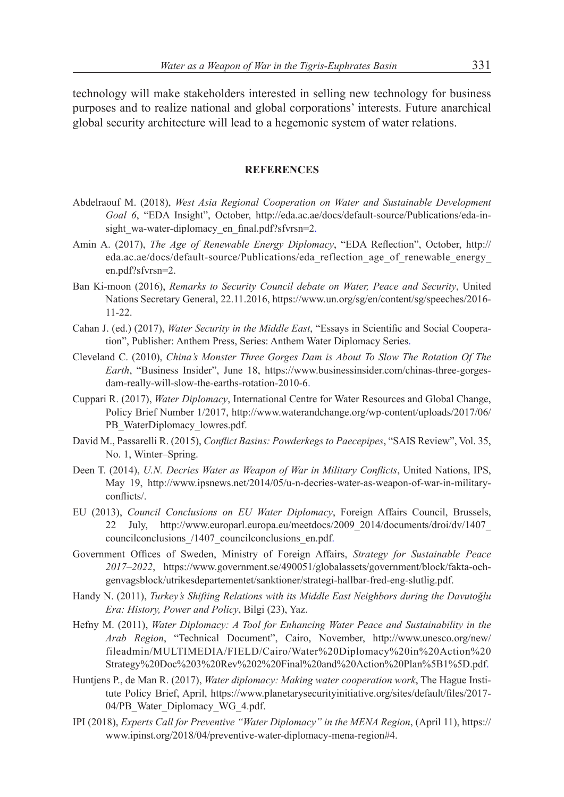technology will make stakeholders interested in selling new technology for business purposes and to realize national and global corporations' interests. Future anarchical global security architecture will lead to a hegemonic system of water relations.

#### **REFERENCES**

- Abdelraouf M. (2018), *West Asia Regional Cooperation on Water and Sustainable Development Goal 6*, "EDA Insight", October, http://eda.ac.ae/docs/default-source/Publications/eda-insight wa-water-diplomacy en final.pdf?sfvrsn=2.
- Amin A. (2017), *The Age of Renewable Energy Diplomacy*, "EDA Refection", October, http:// eda.ac.ae/docs/default-source/Publications/eda\_reflection\_age\_of\_renewable\_energy\_ en.pdf?sfvrsn=2.
- Ban Ki-moon (2016), *Remarks to Security Council debate on Water, Peace and Security*, United Nations Secretary General, 22.11.2016, https://www.un.org/sg/en/content/sg/speeches/2016- 11-22.
- Cahan J. (ed.) (2017), *Water Security in the Middle East*, "Essays in Scientifc and Social Cooperation", Publisher: Anthem Press, Series: Anthem Water Diplomacy Series.
- Cleveland C. (2010), *China's Monster Three Gorges Dam is About To Slow The Rotation Of The Earth*, "Business Insider", June 18, https://www.businessinsider.com/chinas-three-gorgesdam-really-will-slow-the-earths-rotation-2010-6.
- Cuppari R. (2017), *Water Diplomacy*, International Centre for Water Resources and Global Change, Policy Brief Number 1/2017, http://www.waterandchange.org/wp-content/uploads/2017/06/ PB\_WaterDiplomacy\_lowres.pdf.
- David M., Passarelli R. (2015), *Confict Basins: Powderkegs to Paecepipes*, "SAIS Review", Vol. 35, No. 1, Winter–Spring.
- Deen T. (2014), *U.N. Decries Water as Weapon of War in Military Conficts*, United Nations, IPS, May 19, http://www.ipsnews.net/2014/05/u-n-decries-water-as-weapon-of-war-in-militaryconficts/.
- EU (2013), *Council Conclusions on EU Water Diplomacy*, Foreign Affairs Council, Brussels, 22 July, http://www.europarl.europa.eu/meetdocs/2009\_2014/documents/droi/dv/1407\_ councilconclusions\_/1407\_councilconclusions\_en.pdf.
- Government Offces of Sweden, Ministry of Foreign Affairs, *Strategy for Sustainable Peace 2017–2022*, https://www.government.se/490051/globalassets/government/block/fakta-ochgenvagsblock/utrikesdepartementet/sanktioner/strategi-hallbar-fred-eng-slutlig.pdf.
- Handy N. (2011), *Turkey's Shifting Relations with its Middle East Neighbors during the Davutoğlu Era: History, Power and Policy*, Bilgi (23), Yaz.
- Hefny M. (2011), *Water Diplomacy: A Tool for Enhancing Water Peace and Sustainability in the Arab Region*, "Technical Document", Cairo, November, http://www.unesco.org/new/ fileadmin/MULTIMEDIA/FIELD/Cairo/Water%20Diplomacy%20in%20Action%20 Strategy%20Doc%203%20Rev%202%20Final%20and%20Action%20Plan%5B1%5D.pdf.
- Huntjens P., de Man R. (2017), *Water diplomacy: Making water cooperation work*, The Hague Institute Policy Brief, April, https://www.planetarysecurityinitiative.org/sites/default/fles/2017- 04/PB Water Diplomacy WG 4.pdf.
- IPI (2018), *Experts Call for Preventive "Water Diplomacy" in the MENA Region*, (April 11), https:// www.ipinst.org/2018/04/preventive-water-diplomacy-mena-region#4.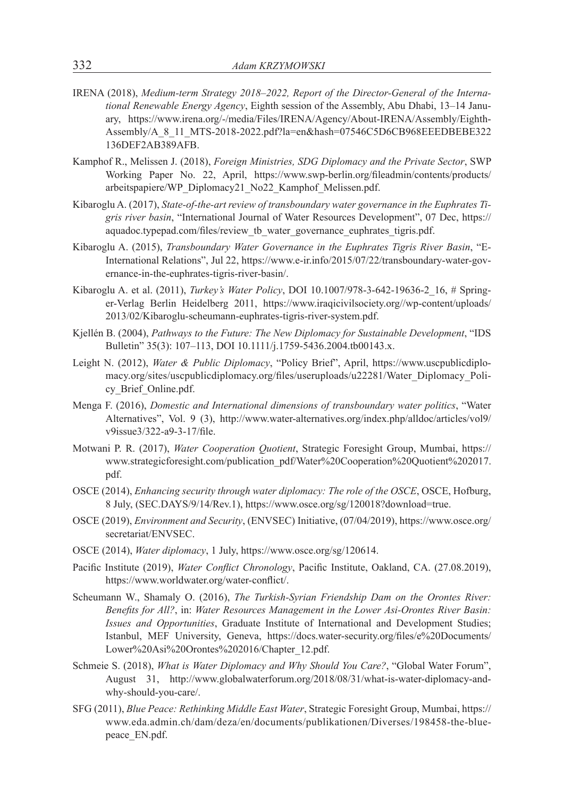- IRENA (2018), *Medium-term Strategy 2018–2022, Report of the Director-General of the International Renewable Energy Agency*, Eighth session of the Assembly, Abu Dhabi, 13–14 January, https://www.irena.org/-/media/Files/IRENA/Agency/About-IRENA/Assembly/Eighth-Assembly/A\_8\_11\_MTS-2018-2022.pdf?la=en&hash=07546C5D6CB968EEEDBEBE322 136DEF2AB389AFB.
- Kamphof R., Melissen J. (2018), *Foreign Ministries, SDG Diplomacy and the Private Sector*, SWP Working Paper No. 22, April, https://www.swp-berlin.org/fleadmin/contents/products/ arbeitspapiere/WP\_Diplomacy21\_No22\_Kamphof\_Melissen.pdf.
- Kibaroglu A. (2017), *State-of-the-art review of transboundary water governance in the Euphrates Tigris river basin*, "International Journal of Water Resources Development", 07 Dec, https:// aquadoc.typepad.com/files/review\_tb\_water\_governance\_euphrates\_tigris.pdf.
- Kibaroglu A. (2015), *Transboundary Water Governance in the Euphrates Tigris River Basin*, "E-International Relations", Jul 22, https://www.e-ir.info/2015/07/22/transboundary-water-governance-in-the-euphrates-tigris-river-basin/.
- Kibaroglu A. et al. (2011), *Turkey's Water Policy*, DOI 10.1007/978-3-642-19636-2\_16, # Springer-Verlag Berlin Heidelberg 2011, https://www.iraqicivilsociety.org//wp-content/uploads/ 2013/02/Kibaroglu-scheumann-euphrates-tigris-river-system.pdf.
- Kjellén B. (2004), *Pathways to the Future: The New Diplomacy for Sustainable Development*, "IDS Bulletin" 35(3): 107–113, DOI 10.1111/j.1759-5436.2004.tb00143.x.
- Leight N. (2012), *Water & Public Diplomacy*, "Policy Brief", April, https://www.uscpublicdiplomacy.org/sites/uscpublicdiplomacy.org/fles/useruploads/u22281/Water\_Diplomacy\_Policy\_Brief\_Online.pdf.
- Menga F. (2016), *Domestic and International dimensions of transboundary water politics*, "Water Alternatives", Vol. 9 (3), http://www.water-alternatives.org/index.php/alldoc/articles/vol9/ v9issue3/322-a9-3-17/fle.
- Motwani P. R. (2017), *Water Cooperation Quotient*, Strategic Foresight Group, Mumbai, https:// www.strategicforesight.com/publication\_pdf/Water%20Cooperation%20Quotient%202017. pdf.
- OSCE (2014), *Enhancing security through water diplomacy: The role of the OSCE*, OSCE, Hofburg, 8 July, (SEC.DAYS/9/14/Rev.1), https://www.osce.org/sg/120018?download=true.
- OSCE (2019), *Environment and Security*, (ENVSEC) Initiative, (07/04/2019), https://www.osce.org/ secretariat/ENVSEC.
- OSCE (2014), *Water diplomacy*, 1 July, https://www.osce.org/sg/120614.
- Pacifc Institute (2019), *Water Confict Chronology*, Pacifc Institute, Oakland, CA. (27.08.2019), https://www.worldwater.org/water-confict/.
- Scheumann W., Shamaly O. (2016), *The Turkish-Syrian Friendship Dam on the Orontes River: Benefts for All?*, in: *Water Resources Management in the Lower Asi-Orontes River Basin: Issues and Opportunities*, Graduate Institute of International and Development Studies; Istanbul, MEF University, Geneva, https://docs.water-security.org/fles/e%20Documents/ Lower%20Asi%20Orontes%202016/Chapter\_12.pdf.
- Schmeie S. (2018), *What is Water Diplomacy and Why Should You Care?*, "Global Water Forum", August 31, http://www.globalwaterforum.org/2018/08/31/what-is-water-diplomacy-andwhy-should-you-care/.
- SFG (2011), *Blue Peace: Rethinking Middle East Water*, Strategic Foresight Group, Mumbai, https:// www.eda.admin.ch/dam/deza/en/documents/publikationen/Diverses/198458-the-bluepeace\_EN.pdf.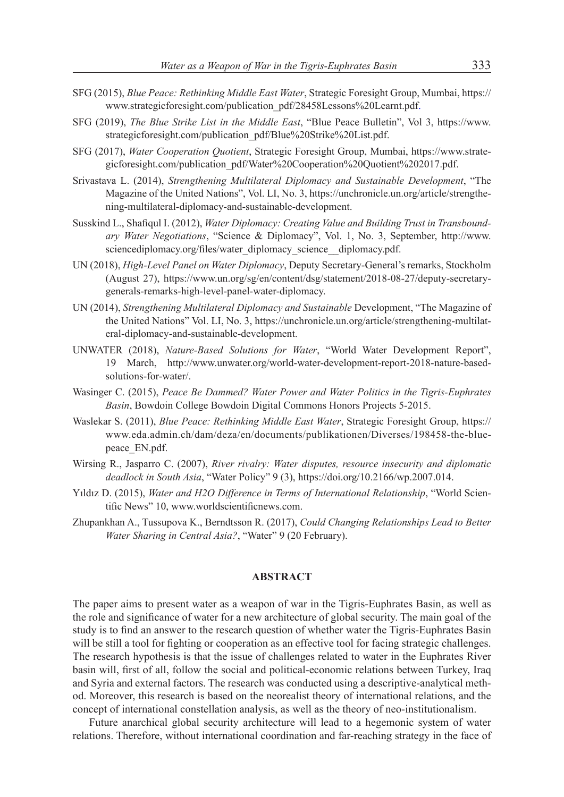- SFG (2015), *Blue Peace: Rethinking Middle East Water*, Strategic Foresight Group, Mumbai, https:// www.strategicforesight.com/publication\_pdf/28458Lessons%20Learnt.pdf.
- SFG (2019), *The Blue Strike List in the Middle East*, "Blue Peace Bulletin", Vol 3, https://www. strategicforesight.com/publication\_pdf/Blue%20Strike%20List.pdf.
- SFG (2017), *Water Cooperation Quotient*, Strategic Foresight Group, Mumbai, https://www.strategicforesight.com/publication\_pdf/Water%20Cooperation%20Quotient%202017.pdf.
- Srivastava L. (2014), *Strengthening Multilateral Diplomacy and Sustainable Development*, "The Magazine of the United Nations", Vol. LI, No. 3, https://unchronicle.un.org/article/strengthening-multilateral-diplomacy-and-sustainable-development.
- Susskind L., Shafqul I. (2012), *Water Diplomacy: Creating Value and Building Trust in Transboundary Water Negotiations*, "Science & Diplomacy", Vol. 1, No. 3, September, http://www. sciencediplomacy.org/files/water\_diplomacy\_science\_diplomacy.pdf.
- UN (2018), *High-Level Panel on Water Diplomacy*, Deputy Secretary-General's remarks, Stockholm (August 27), https://www.un.org/sg/en/content/dsg/statement/2018-08-27/deputy-secretarygenerals-remarks-high-level-panel-water-diplomacy.
- UN (2014), *Strengthening Multilateral Diplomacy and Sustainable* Development, "The Magazine of the United Nations" Vol. LI, No. 3, https://unchronicle.un.org/article/strengthening-multilateral-diplomacy-and-sustainable-development.
- UNWATER (2018), *Nature-Based Solutions for Water*, "World Water Development Report", 19 March, http://www.unwater.org/world-water-development-report-2018-nature-basedsolutions-for-water/.
- Wasinger C. (2015), *Peace Be Dammed? Water Power and Water Politics in the Tigris-Euphrates Basin*, Bowdoin College Bowdoin Digital Commons Honors Projects 5-2015.
- Waslekar S. (2011), *Blue Peace: Rethinking Middle East Water*, Strategic Foresight Group, https:// www.eda.admin.ch/dam/deza/en/documents/publikationen/Diverses/198458-the-bluepeace\_EN.pdf.
- Wirsing R., Jasparro C. (2007), *River rivalry: Water disputes, resource insecurity and diplomatic deadlock in South Asia*, "Water Policy" 9 (3), https://doi.org/10.2166/wp.2007.014.
- Yıldız D. (2015), *Water and H2O Difference in Terms of International Relationship*, "World Scientifc News" 10, www.worldscientifcnews.com.
- Zhupankhan A., Tussupova K., Berndtsson R. (2017), *Could Changing Relationships Lead to Better Water Sharing in Central Asia?*, "Water" 9 (20 February).

#### **ABSTRACT**

The paper aims to present water as a weapon of war in the Tigris-Euphrates Basin, as well as the role and signifcance of water for a new architecture of global security. The main goal of the study is to fnd an answer to the research question of whether water the Tigris-Euphrates Basin will be still a tool for fighting or cooperation as an effective tool for facing strategic challenges. The research hypothesis is that the issue of challenges related to water in the Euphrates River basin will, frst of all, follow the social and political-economic relations between Turkey, Iraq and Syria and external factors. The research was conducted using a descriptive-analytical method. Moreover, this research is based on the neorealist theory of international relations, and the concept of international constellation analysis, as well as the theory of neo-institutionalism.

Future anarchical global security architecture will lead to a hegemonic system of water relations. Therefore, without international coordination and far-reaching strategy in the face of